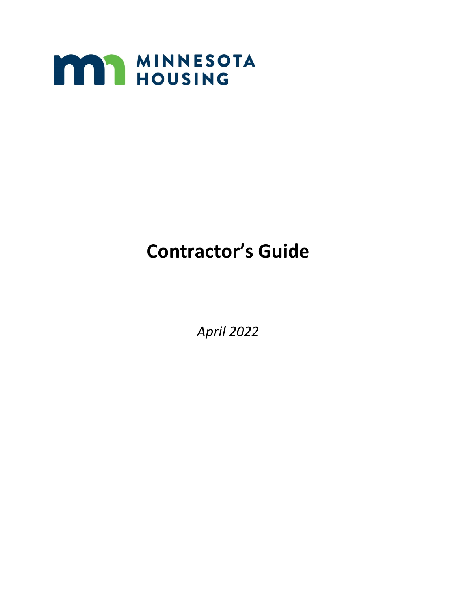

# **Contractor's Guide**

*April 2022*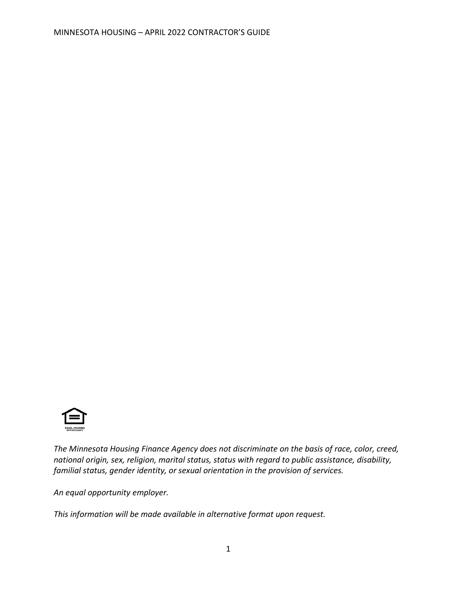

*The Minnesota Housing Finance Agency does not discriminate on the basis of race, color, creed, national origin, sex, religion, marital status, status with regard to public assistance, disability, familial status, gender identity, or sexual orientation in the provision of services.*

*An equal opportunity employer.*

*This information will be made available in alternative format upon request.*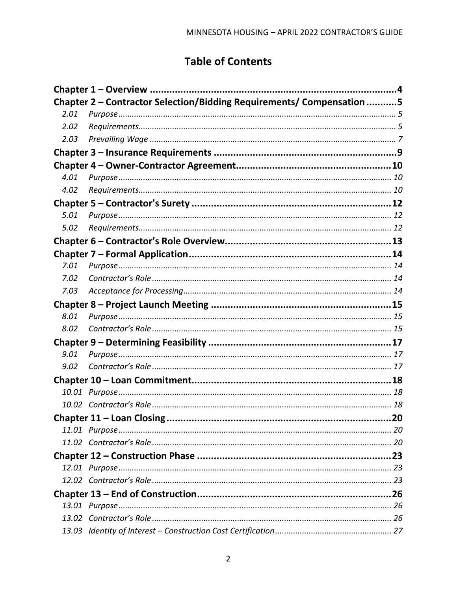# **Table of Contents**

|      | Chapter 2 - Contractor Selection/Bidding Requirements/ Compensation 5 |    |
|------|-----------------------------------------------------------------------|----|
| 2.01 |                                                                       |    |
| 2.02 |                                                                       |    |
| 2.03 |                                                                       |    |
|      |                                                                       |    |
|      |                                                                       |    |
| 4.01 |                                                                       |    |
| 4.02 |                                                                       |    |
|      |                                                                       |    |
| 5.01 |                                                                       |    |
| 5.02 |                                                                       |    |
|      |                                                                       |    |
|      |                                                                       |    |
| 7.01 |                                                                       |    |
| 7.02 |                                                                       |    |
| 7.03 |                                                                       |    |
|      |                                                                       |    |
| 8.01 |                                                                       |    |
| 8.02 |                                                                       |    |
|      |                                                                       |    |
| 9.01 |                                                                       |    |
| 9.02 |                                                                       |    |
|      |                                                                       |    |
|      |                                                                       |    |
|      |                                                                       |    |
|      |                                                                       | 20 |
|      |                                                                       |    |
|      |                                                                       |    |
|      |                                                                       |    |
|      |                                                                       |    |
|      |                                                                       |    |
|      |                                                                       |    |
|      |                                                                       |    |
|      |                                                                       |    |
|      |                                                                       |    |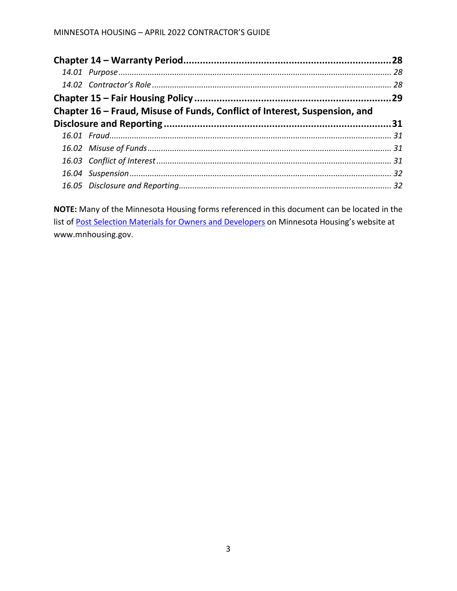| Chapter 16 – Fraud, Misuse of Funds, Conflict of Interest, Suspension, and |  |  |  |  |
|----------------------------------------------------------------------------|--|--|--|--|
|                                                                            |  |  |  |  |
|                                                                            |  |  |  |  |
|                                                                            |  |  |  |  |
|                                                                            |  |  |  |  |
|                                                                            |  |  |  |  |
|                                                                            |  |  |  |  |

**NOTE:** Many of the Minnesota Housing forms referenced in this document can be located in the list of [Post Selection Materials for Owners and Developers](https://www.mnhousing.gov/sites/multifamily/postselection/developers) on Minnesota Housing's website at www.mnhousing.gov.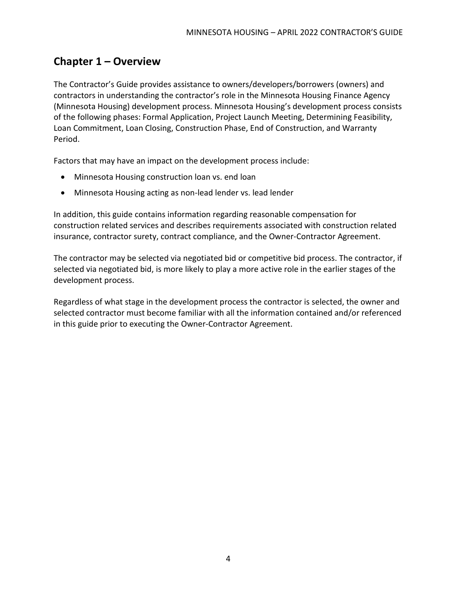## <span id="page-5-0"></span>**Chapter 1 – Overview**

The Contractor's Guide provides assistance to owners/developers/borrowers (owners) and contractors in understanding the contractor's role in the Minnesota Housing Finance Agency (Minnesota Housing) development process. Minnesota Housing's development process consists of the following phases: Formal Application, Project Launch Meeting, Determining Feasibility, Loan Commitment, Loan Closing, Construction Phase, End of Construction, and Warranty Period.

Factors that may have an impact on the development process include:

- Minnesota Housing construction loan vs. end loan
- Minnesota Housing acting as non-lead lender vs. lead lender

In addition, this guide contains information regarding reasonable compensation for construction related services and describes requirements associated with construction related insurance, contractor surety, contract compliance, and the Owner-Contractor Agreement.

The contractor may be selected via negotiated bid or competitive bid process. The contractor, if selected via negotiated bid, is more likely to play a more active role in the earlier stages of the development process.

Regardless of what stage in the development process the contractor is selected, the owner and selected contractor must become familiar with all the information contained and/or referenced in this guide prior to executing the Owner-Contractor Agreement.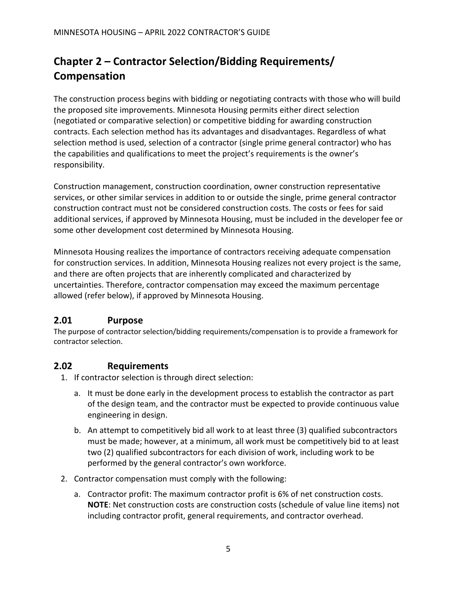# <span id="page-6-0"></span>**Chapter 2 – Contractor Selection/Bidding Requirements/ Compensation**

The construction process begins with bidding or negotiating contracts with those who will build the proposed site improvements. Minnesota Housing permits either direct selection (negotiated or comparative selection) or competitive bidding for awarding construction contracts. Each selection method has its advantages and disadvantages. Regardless of what selection method is used, selection of a contractor (single prime general contractor) who has the capabilities and qualifications to meet the project's requirements is the owner's responsibility.

Construction management, construction coordination, owner construction representative services, or other similar services in addition to or outside the single, prime general contractor construction contract must not be considered construction costs. The costs or fees for said additional services, if approved by Minnesota Housing, must be included in the developer fee or some other development cost determined by Minnesota Housing.

Minnesota Housing realizes the importance of contractors receiving adequate compensation for construction services. In addition, Minnesota Housing realizes not every project is the same, and there are often projects that are inherently complicated and characterized by uncertainties. Therefore, contractor compensation may exceed the maximum percentage allowed (refer below), if approved by Minnesota Housing.

#### <span id="page-6-1"></span>**2.01 Purpose**

The purpose of contractor selection/bidding requirements/compensation is to provide a framework for contractor selection.

#### <span id="page-6-2"></span>**2.02 Requirements**

- 1. If contractor selection is through direct selection:
	- a. It must be done early in the development process to establish the contractor as part of the design team, and the contractor must be expected to provide continuous value engineering in design.
	- b. An attempt to competitively bid all work to at least three (3) qualified subcontractors must be made; however, at a minimum, all work must be competitively bid to at least two (2) qualified subcontractors for each division of work, including work to be performed by the general contractor's own workforce.
- 2. Contractor compensation must comply with the following:
	- a. Contractor profit: The maximum contractor profit is 6% of net construction costs. **NOTE**: Net construction costs are construction costs (schedule of value line items) not including contractor profit, general requirements, and contractor overhead.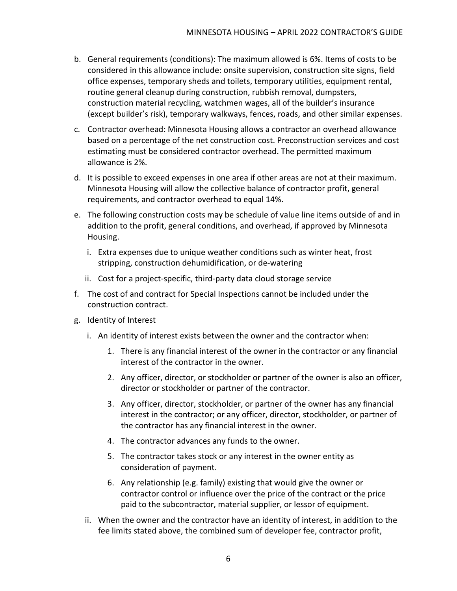- b. General requirements (conditions): The maximum allowed is 6%. Items of costs to be considered in this allowance include: onsite supervision, construction site signs, field office expenses, temporary sheds and toilets, temporary utilities, equipment rental, routine general cleanup during construction, rubbish removal, dumpsters, construction material recycling, watchmen wages, all of the builder's insurance (except builder's risk), temporary walkways, fences, roads, and other similar expenses.
- c. Contractor overhead: Minnesota Housing allows a contractor an overhead allowance based on a percentage of the net construction cost. Preconstruction services and cost estimating must be considered contractor overhead. The permitted maximum allowance is 2%.
- d. It is possible to exceed expenses in one area if other areas are not at their maximum. Minnesota Housing will allow the collective balance of contractor profit, general requirements, and contractor overhead to equal 14%.
- e. The following construction costs may be schedule of value line items outside of and in addition to the profit, general conditions, and overhead, if approved by Minnesota Housing.
	- i. Extra expenses due to unique weather conditions such as winter heat, frost stripping, construction dehumidification, or de-watering
	- ii. Cost for a project-specific, third-party data cloud storage service
- f. The cost of and contract for Special Inspections cannot be included under the construction contract.
- g. Identity of Interest
	- i. An identity of interest exists between the owner and the contractor when:
		- 1. There is any financial interest of the owner in the contractor or any financial interest of the contractor in the owner.
		- 2. Any officer, director, or stockholder or partner of the owner is also an officer, director or stockholder or partner of the contractor.
		- 3. Any officer, director, stockholder, or partner of the owner has any financial interest in the contractor; or any officer, director, stockholder, or partner of the contractor has any financial interest in the owner.
		- 4. The contractor advances any funds to the owner.
		- 5. The contractor takes stock or any interest in the owner entity as consideration of payment.
		- 6. Any relationship (e.g. family) existing that would give the owner or contractor control or influence over the price of the contract or the price paid to the subcontractor, material supplier, or lessor of equipment.
	- ii. When the owner and the contractor have an identity of interest, in addition to the fee limits stated above, the combined sum of developer fee, contractor profit,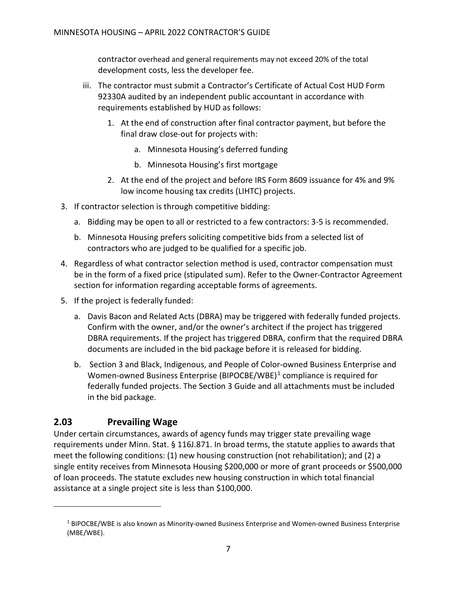contractor overhead and general requirements may not exceed 20% of the total development costs, less the developer fee.

- iii. The contractor must submit a Contractor's Certificate of Actual Cost HUD Form 92330A audited by an independent public accountant in accordance with requirements established by HUD as follows:
	- 1. At the end of construction after final contractor payment, but before the final draw close-out for projects with:
		- a. Minnesota Housing's deferred funding
		- b. Minnesota Housing's first mortgage
	- 2. At the end of the project and before IRS Form 8609 issuance for 4% and 9% low income housing tax credits (LIHTC) projects.
- 3. If contractor selection is through competitive bidding:
	- a. Bidding may be open to all or restricted to a few contractors: 3-5 is recommended.
	- b. Minnesota Housing prefers soliciting competitive bids from a selected list of contractors who are judged to be qualified for a specific job.
- 4. Regardless of what contractor selection method is used, contractor compensation must be in the form of a fixed price (stipulated sum). Refer to the Owner-Contractor Agreement section for information regarding acceptable forms of agreements.
- 5. If the project is federally funded:
	- a. Davis Bacon and Related Acts (DBRA) may be triggered with federally funded projects. Confirm with the owner, and/or the owner's architect if the project has triggered DBRA requirements. If the project has triggered DBRA, confirm that the required DBRA documents are included in the bid package before it is released for bidding.
	- b. [Section 3 and](http://mnhousing.gov/idc/groups/public/documents/document/mhfa_012641.pdf) Black, Indigenous, and People of Color-owned Business Enterprise and Women-owned Business Enterprise (BIPOCBE/WBE)<sup>[1](#page-8-1)</sup> compliance is required for federally funded projects. The Section 3 Guide and all attachments must be included in the bid package.

#### <span id="page-8-0"></span>**2.03 Prevailing Wage**

Under certain circumstances, awards of agency funds may trigger state prevailing wage requirements under Minn. Stat. § 116J.871. In broad terms, the statute applies to awards that meet the following conditions: (1) new housing construction (not rehabilitation); and (2) a single entity receives from Minnesota Housing \$200,000 or more of grant proceeds or \$500,000 of loan proceeds. The statute excludes new housing construction in which total financial assistance at a single project site is less than \$100,000.

<span id="page-8-1"></span><sup>1</sup> BIPOCBE/WBE is also known as Minority-owned Business Enterprise and Women-owned Business Enterprise (MBE/WBE).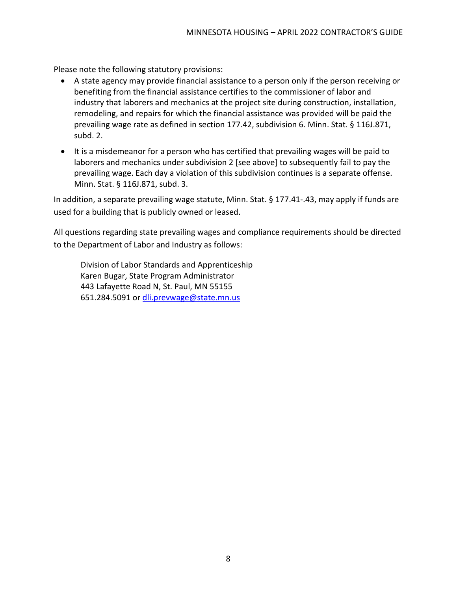Please note the following statutory provisions:

- A state agency may provide financial assistance to a person only if the person receiving or benefiting from the financial assistance certifies to the commissioner of labor and industry that laborers and mechanics at the project site during construction, installation, remodeling, and repairs for which the financial assistance was provided will be paid the prevailing wage rate as defined in section 177.42, subdivision 6. Minn. Stat. § 116J.871, subd. 2.
- It is a misdemeanor for a person who has certified that prevailing wages will be paid to laborers and mechanics under subdivision 2 [see above] to subsequently fail to pay the prevailing wage. Each day a violation of this subdivision continues is a separate offense. Minn. Stat. § 116J.871, subd. 3.

In addition, a separate prevailing wage statute, Minn. Stat. § 177.41-.43, may apply if funds are used for a building that is publicly owned or leased.

All questions regarding state prevailing wages and compliance requirements should be directed to the Department of Labor and Industry as follows:

Division of Labor Standards and Apprenticeship Karen Bugar, State Program Administrator 443 Lafayette Road N, St. Paul, MN 55155 651.284.5091 or [dli.prevwage@state.mn.us](mailto:dli.prevwage@state.mn.us)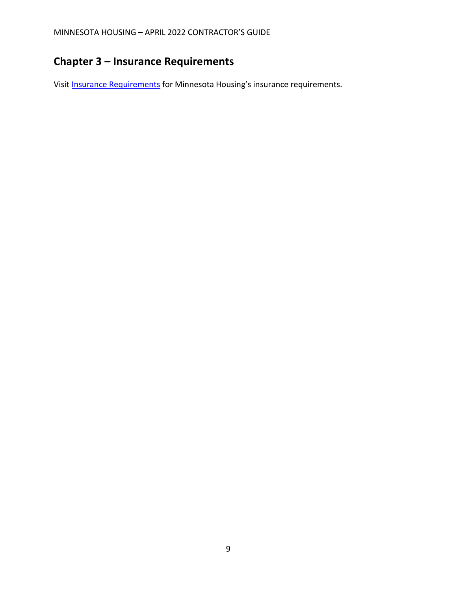# <span id="page-10-0"></span>**Chapter 3 – Insurance Requirements**

Visit **Insurance Requirements** for Minnesota Housing's insurance requirements.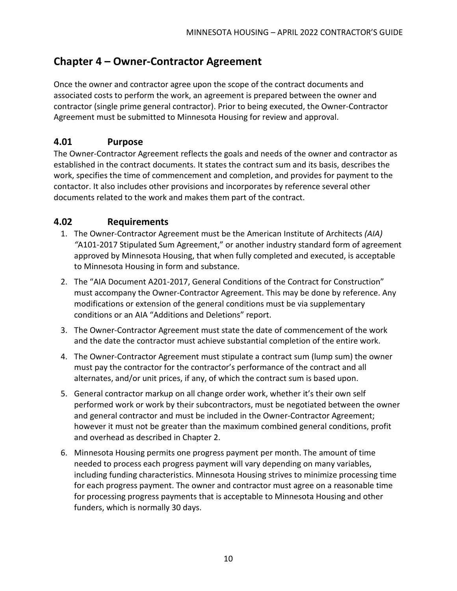## <span id="page-11-0"></span>**Chapter 4 – Owner-Contractor Agreement**

Once the owner and contractor agree upon the scope of the contract documents and associated costs to perform the work, an agreement is prepared between the owner and contractor (single prime general contractor). Prior to being executed, the Owner-Contractor Agreement must be submitted to Minnesota Housing for review and approval.

#### <span id="page-11-1"></span>**4.01 Purpose**

The Owner-Contractor Agreement reflects the goals and needs of the owner and contractor as established in the contract documents. It states the contract sum and its basis, describes the work, specifies the time of commencement and completion, and provides for payment to the contactor. It also includes other provisions and incorporates by reference several other documents related to the work and makes them part of the contract.

#### <span id="page-11-2"></span>**4.02 Requirements**

- 1. The Owner-Contractor Agreement must be the American Institute of Architects *(AIA) "*A101-2017 Stipulated Sum Agreement," or another industry standard form of agreement approved by Minnesota Housing, that when fully completed and executed, is acceptable to Minnesota Housing in form and substance.
- 2. The "AIA Document A201-2017, General Conditions of the Contract for Construction" must accompany the Owner-Contractor Agreement. This may be done by reference. Any modifications or extension of the general conditions must be via supplementary conditions or an AIA "Additions and Deletions" report.
- 3. The Owner-Contractor Agreement must state the date of commencement of the work and the date the contractor must achieve substantial completion of the entire work.
- 4. The Owner-Contractor Agreement must stipulate a contract sum (lump sum) the owner must pay the contractor for the contractor's performance of the contract and all alternates, and/or unit prices, if any, of which the contract sum is based upon.
- 5. General contractor markup on all change order work, whether it's their own self performed work or work by their subcontractors, must be negotiated between the owner and general contractor and must be included in the Owner-Contractor Agreement; however it must not be greater than the maximum combined general conditions, profit and overhead as described in Chapter 2.
- 6. Minnesota Housing permits one progress payment per month. The amount of time needed to process each progress payment will vary depending on many variables, including funding characteristics. Minnesota Housing strives to minimize processing time for each progress payment. The owner and contractor must agree on a reasonable time for processing progress payments that is acceptable to Minnesota Housing and other funders, which is normally 30 days.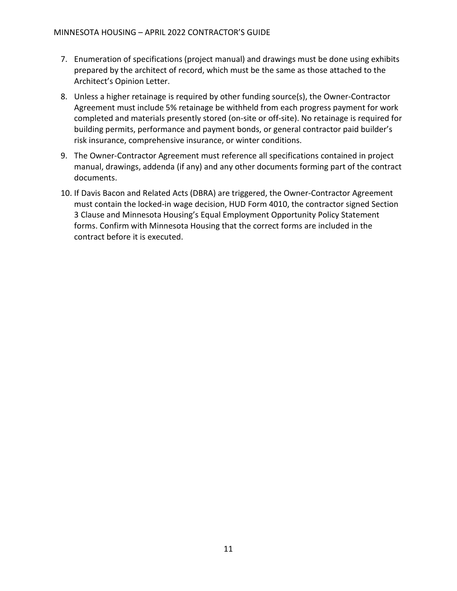- 7. Enumeration of specifications (project manual) and drawings must be done using exhibits prepared by the architect of record, which must be the same as those attached to the Architect's Opinion Letter.
- 8. Unless a higher retainage is required by other funding source(s), the Owner-Contractor Agreement must include 5% retainage be withheld from each progress payment for work completed and materials presently stored (on-site or off-site). No retainage is required for building permits, performance and payment bonds, or general contractor paid builder's risk insurance, comprehensive insurance, or winter conditions.
- 9. The Owner-Contractor Agreement must reference all specifications contained in project manual, drawings, addenda (if any) and any other documents forming part of the contract documents.
- 10. If Davis Bacon and Related Acts (DBRA) are triggered, the Owner-Contractor Agreement must contain the locked-in wage decision, HUD Form 4010, the contractor signed Section 3 Clause and Minnesota Housing's Equal Employment Opportunity Policy Statement forms. Confirm with Minnesota Housing that the correct forms are included in the contract before it is executed.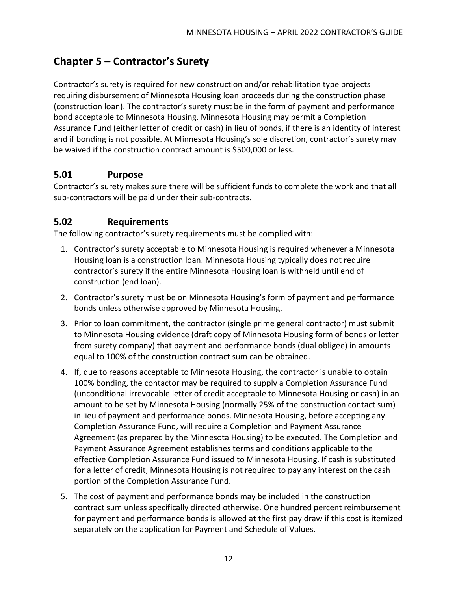## <span id="page-13-0"></span>**Chapter 5 – Contractor's Surety**

Contractor's surety is required for new construction and/or rehabilitation type projects requiring disbursement of Minnesota Housing loan proceeds during the construction phase (construction loan). The contractor's surety must be in the form of payment and performance bond acceptable to Minnesota Housing. Minnesota Housing may permit a Completion Assurance Fund (either letter of credit or cash) in lieu of bonds, if there is an identity of interest and if bonding is not possible. At Minnesota Housing's sole discretion, contractor's surety may be waived if the construction contract amount is \$500,000 or less.

#### <span id="page-13-1"></span>**5.01 Purpose**

Contractor's surety makes sure there will be sufficient funds to complete the work and that all sub-contractors will be paid under their sub-contracts.

#### <span id="page-13-2"></span>**5.02 Requirements**

The following contractor's surety requirements must be complied with:

- 1. Contractor's surety acceptable to Minnesota Housing is required whenever a Minnesota Housing loan is a construction loan. Minnesota Housing typically does not require contractor's surety if the entire Minnesota Housing loan is withheld until end of construction (end loan).
- 2. Contractor's surety must be on Minnesota Housing's form of [payment a](http://www.mnhousing.gov/idc/groups/multifamily/documents/webasset/mhfa_002462.rtf)n[d performance](http://www.mnhousing.gov/idc/groups/multifamily/documents/webasset/mhfa_002460.rtf)  [bonds](http://www.mnhousing.gov/idc/groups/multifamily/documents/webasset/mhfa_002460.rtf) unless otherwise approved by Minnesota Housing.
- 3. Prior to loan commitment, the contractor (single prime general contractor) must submit to Minnesota Housing evidence (draft copy of Minnesota Housing form of bonds or letter from surety company) that payment and performance bonds (dual obligee) in amounts equal to 100% of the construction contract sum can be obtained.
- 4. If, due to reasons acceptable to Minnesota Housing, the contractor is unable to obtain 100% bonding, the contactor may be required to supply a Completion Assurance Fund (unconditional irrevocable letter of credit acceptable to Minnesota Housing or cash) in an amount to be set by Minnesota Housing (normally 25% of the construction contact sum) in lieu of payment and performance bonds. Minnesota Housing, before accepting any Completion Assurance Fund, will require a [Completion and Payment Assurance](http://mnhousing.gov/idc/groups/public/documents/document/mhfa_003617.pdf)  [Agreement](http://mnhousing.gov/idc/groups/public/documents/document/mhfa_003617.pdf) (as prepared by the Minnesota Housing) to be executed. The Completion and Payment Assurance Agreement establishes terms and conditions applicable to the effective Completion Assurance Fund issued to Minnesota Housing. If cash is substituted for a letter of credit, Minnesota Housing is not required to pay any interest on the cash portion of the Completion Assurance Fund.
- 5. The cost of payment and performance bonds may be included in the construction contract sum unless specifically directed otherwise. One hundred percent reimbursement for payment and performance bonds is allowed at the first pay draw if this cost is itemized separately on the application for Payment and Schedule of Values.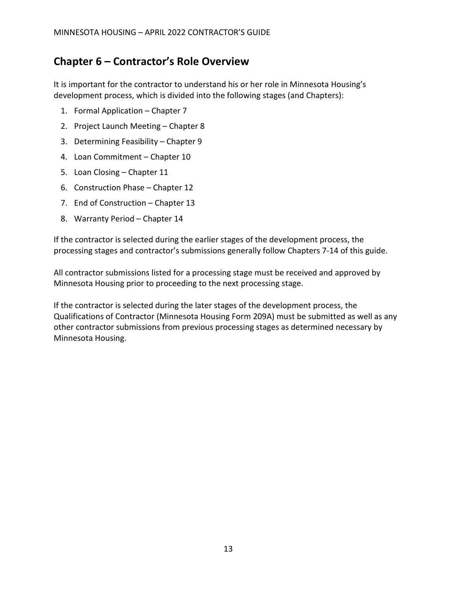## <span id="page-14-0"></span>**Chapter 6 – Contractor's Role Overview**

It is important for the contractor to understand his or her role in Minnesota Housing's development process, which is divided into the following stages (and Chapters):

- 1. Formal Application Chapter 7
- 2. Project Launch Meeting Chapter 8
- 3. Determining Feasibility Chapter 9
- 4. Loan Commitment Chapter 10
- 5. Loan Closing Chapter 11
- 6. Construction Phase Chapter 12
- 7. End of Construction Chapter 13
- 8. Warranty Period Chapter 14

If the contractor is selected during the earlier stages of the development process, the processing stages and contractor's submissions generally follow Chapters 7-14 of this guide.

All contractor submissions listed for a processing stage must be received and approved by Minnesota Housing prior to proceeding to the next processing stage.

If the contractor is selected during the later stages of the development process, the Qualifications of Contractor (Minnesota Housing Form 209A) must be submitted as well as any other contractor submissions from previous processing stages as determined necessary by Minnesota Housing.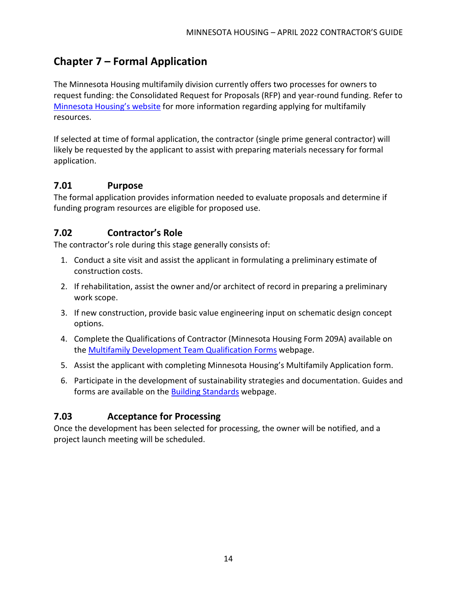## <span id="page-15-0"></span>**Chapter 7 – Formal Application**

The Minnesota Housing multifamily division currently offers two processes for owners to request funding: the Consolidated Request for Proposals (RFP) and year-round funding. Refer to [Minnesota Housing's website](https://www.mnhousing.gov/sites/multifamily/gettingstarted) for more information regarding applying for multifamily resources.

If selected at time of formal application, the contractor (single prime general contractor) will likely be requested by the applicant to assist with preparing materials necessary for formal application.

#### <span id="page-15-1"></span>**7.01 Purpose**

The formal application provides information needed to evaluate proposals and determine if funding program resources are eligible for proposed use.

#### <span id="page-15-2"></span>**7.02 Contractor's Role**

The contractor's role during this stage generally consists of:

- 1. Conduct a site visit and assist the applicant in formulating a preliminary estimate of construction costs.
- 2. If rehabilitation, assist the owner and/or architect of record in preparing a preliminary work scope.
- 3. If new construction, provide basic value engineering input on schematic design concept options.
- 4. Complete the Qualifications of Contractor (Minnesota Housing Form 209A) available on the **[Multifamily Development Team Qualification Forms](https://www.mnhousing.gov/sites/multifamily/qualificationforms) webpage.**
- 5. Assist the applicant with completing Minnesota Housing's Multifamily Application form.
- 6. Participate in the development of sustainability strategies and documentation. Guides and forms are available on the [Building Standards](https://www.mnhousing.gov/sites/multifamily/buildingstandards) webpage.

### <span id="page-15-3"></span>**7.03 Acceptance for Processing**

Once the development has been selected for processing, the owner will be notified, and a project launch meeting will be scheduled.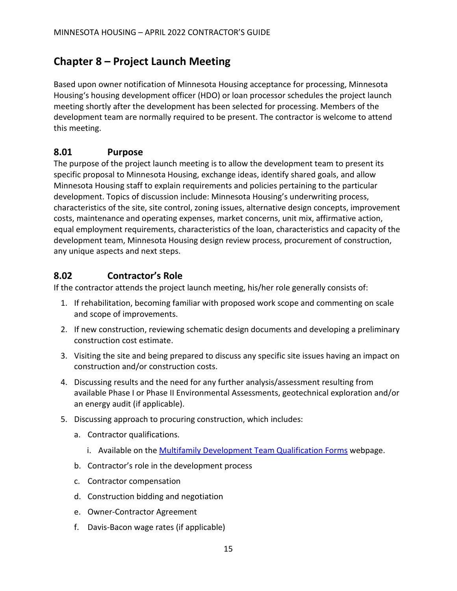## <span id="page-16-0"></span>**Chapter 8 – Project Launch Meeting**

Based upon owner notification of Minnesota Housing acceptance for processing, Minnesota Housing's housing development officer (HDO) or loan processor schedules the project launch meeting shortly after the development has been selected for processing. Members of the development team are normally required to be present. The contractor is welcome to attend this meeting.

#### <span id="page-16-1"></span>**8.01 Purpose**

The purpose of the project launch meeting is to allow the development team to present its specific proposal to Minnesota Housing, exchange ideas, identify shared goals, and allow Minnesota Housing staff to explain requirements and policies pertaining to the particular development. Topics of discussion include: Minnesota Housing's underwriting process, characteristics of the site, site control, zoning issues, alternative design concepts, improvement costs, maintenance and operating expenses, market concerns, unit mix, affirmative action, equal employment requirements, characteristics of the loan, characteristics and capacity of the development team, Minnesota Housing design review process, procurement of construction, any unique aspects and next steps.

#### <span id="page-16-2"></span>**8.02 Contractor's Role**

If the contractor attends the project launch meeting, his/her role generally consists of:

- 1. If rehabilitation, becoming familiar with proposed work scope and commenting on scale and scope of improvements.
- 2. If new construction, reviewing schematic design documents and developing a preliminary construction cost estimate.
- 3. Visiting the site and being prepared to discuss any specific site issues having an impact on construction and/or construction costs.
- 4. Discussing results and the need for any further analysis/assessment resulting from available Phase I or Phase II Environmental Assessments, geotechnical exploration and/or an energy audit (if applicable).
- 5. Discussing approach to procuring construction, which includes:
	- a. Contractor qualifications.
		- i. Available on the [Multifamily Development Team Qualification Forms](https://www.mnhousing.gov/sites/multifamily/qualificationforms) webpage.
	- b. Contractor's role in the development process
	- c. Contractor compensation
	- d. Construction bidding and negotiation
	- e. Owner-Contractor Agreement
	- f. Davis-Bacon wage rates (if applicable)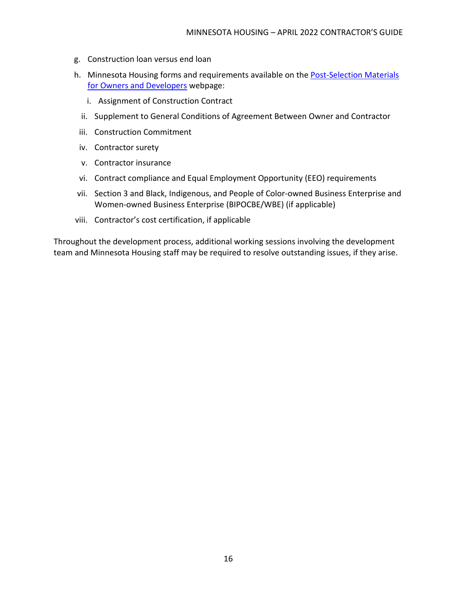- g. Construction loan versus end loan
- h. Minnesota Housing forms and requirements available on the [Post-Selection Materials](https://www.mnhousing.gov/sites/multifamily/postselection/developers)  [for Owners and Developers](https://www.mnhousing.gov/sites/multifamily/postselection/developers) webpage:
	- i. Assignment of Construction Contract
	- ii. Supplement to General Conditions of Agreement Between Owner and Contractor
	- iii. Construction Commitment
	- iv. Contractor surety
	- v. Contractor insurance
	- vi. Contract compliance and Equal Employment Opportunity (EEO) requirements
- vii. Section 3 and Black, Indigenous, and People of Color-owned Business Enterprise and Women-owned Business Enterprise (BIPOCBE/WBE) (if applicable)
- viii. Contractor's cost certification, if applicable

Throughout the development process, additional working sessions involving the development team and Minnesota Housing staff may be required to resolve outstanding issues, if they arise.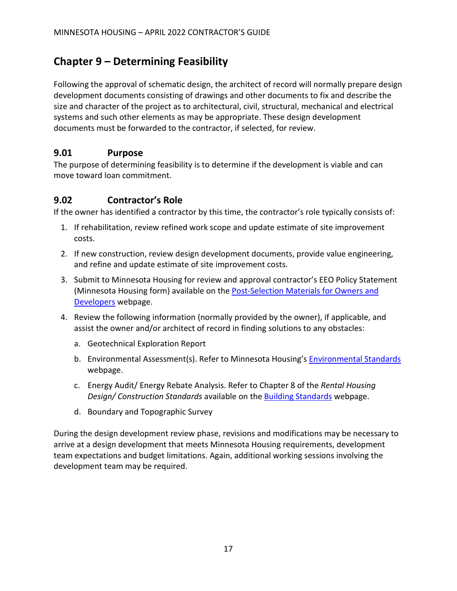## <span id="page-18-0"></span>**Chapter 9 – Determining Feasibility**

Following the approval of schematic design, the architect of record will normally prepare design development documents consisting of drawings and other documents to fix and describe the size and character of the project as to architectural, civil, structural, mechanical and electrical systems and such other elements as may be appropriate. These design development documents must be forwarded to the contractor, if selected, for review.

#### <span id="page-18-1"></span>**9.01 Purpose**

The purpose of determining feasibility is to determine if the development is viable and can move toward loan commitment.

#### <span id="page-18-2"></span>**9.02 Contractor's Role**

If the owner has identified a contractor by this time, the contractor's role typically consists of:

- 1. If rehabilitation, review refined work scope and update estimate of site improvement costs.
- 2. If new construction, review design development documents, provide value engineering, and refine and update estimate of site improvement costs.
- 3. Submit to Minnesota Housing for review and approval contractor's EEO Policy Statement (Minnesota Housing form) available on the [Post-Selection Materials for Owners and](https://www.mnhousing.gov/sites/multifamily/postselection/developers)  [Developers](https://www.mnhousing.gov/sites/multifamily/postselection/developers) webpage.
- 4. Review the following information (normally provided by the owner), if applicable, and assist the owner and/or architect of record in finding solutions to any obstacles:
	- a. Geotechnical Exploration Report
	- b. Environmental Assessment(s). Refer to Minnesota Housing's **[Environmental Standards](https://www.mnhousing.gov/wcs/Satellite?c=Page&cid=1362997127234&pagename=External%2FPage%2FEXTStandardLayout)** webpage.
	- c. Energy Audit/ Energy Rebate Analysis. Refer to Chapter 8 of the *Rental Housing Design/ Construction Standards* available on the [Building Standards](https://www.mnhousing.gov/sites/multifamily/buildingstandards) webpage.
	- d. Boundary and Topographic Survey

During the design development review phase, revisions and modifications may be necessary to arrive at a design development that meets Minnesota Housing requirements, development team expectations and budget limitations. Again, additional working sessions involving the development team may be required.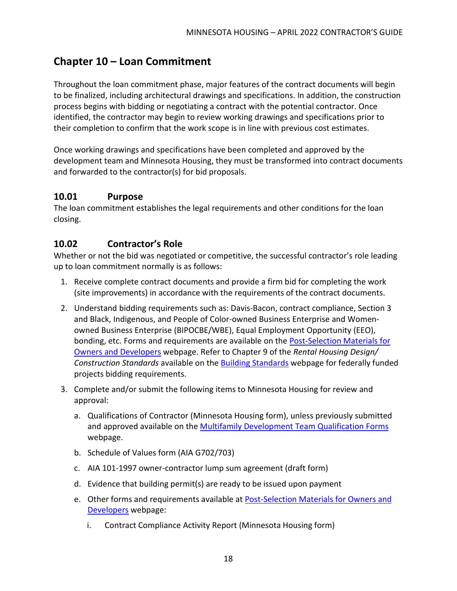## <span id="page-19-0"></span>**Chapter 10 – Loan Commitment**

Throughout the loan commitment phase, major features of the contract documents will begin to be finalized, including architectural drawings and specifications. In addition, the construction process begins with bidding or negotiating a contract with the potential contractor. Once identified, the contractor may begin to review working drawings and specifications prior to their completion to confirm that the work scope is in line with previous cost estimates.

Once working drawings and specifications have been completed and approved by the development team and Minnesota Housing, they must be transformed into contract documents and forwarded to the contractor(s) for bid proposals.

#### <span id="page-19-1"></span>**10.01 Purpose**

The loan commitment establishes the legal requirements and other conditions for the loan closing.

#### <span id="page-19-2"></span>**10.02 Contractor's Role**

Whether or not the bid was negotiated or competitive, the successful contractor's role leading up to loan commitment normally is as follows:

- 1. Receive complete contract documents and provide a firm bid for completing the work (site improvements) in accordance with the requirements of the contract documents.
- 2. Understand bidding requirements such as: Davis-Bacon, contract compliance, Section 3 and Black, Indigenous, and People of Color-owned Business Enterprise and Womenowned Business Enterprise (BIPOCBE/WBE), Equal Employment Opportunity (EEO), bonding, etc. Forms and requirements are available on the [Post-Selection Materials for](https://www.mnhousing.gov/sites/multifamily/postselection/developers)  [Owners and Developers](https://www.mnhousing.gov/sites/multifamily/postselection/developers) webpage. Refer to Chapter 9 of the *Rental Housing Design/ Construction Standards* available on the [Building Standards](https://www.mnhousing.gov/sites/multifamily/buildingstandards) webpage for federally funded projects bidding requirements.
- 3. Complete and/or submit the following items to Minnesota Housing for review and approval:
	- a. Qualifications of Contractor (Minnesota Housing form), unless previously submitted and approved available on the [Multifamily Development Team Qualification Forms](https://www.mnhousing.gov/sites/multifamily/qualificationforms) webpage.
	- b. Schedule of Values form (AIA G702/703)
	- c. AIA 101-1997 owner-contractor lump sum agreement (draft form)
	- d. Evidence that building permit(s) are ready to be issued upon payment
	- e. Other forms and requirements available at [Post-Selection Materials for Owners and](https://www.mnhousing.gov/sites/multifamily/postselection/developers)  [Developers](https://www.mnhousing.gov/sites/multifamily/postselection/developers) webpage:
		- i. Contract Compliance Activity Report (Minnesota Housing form)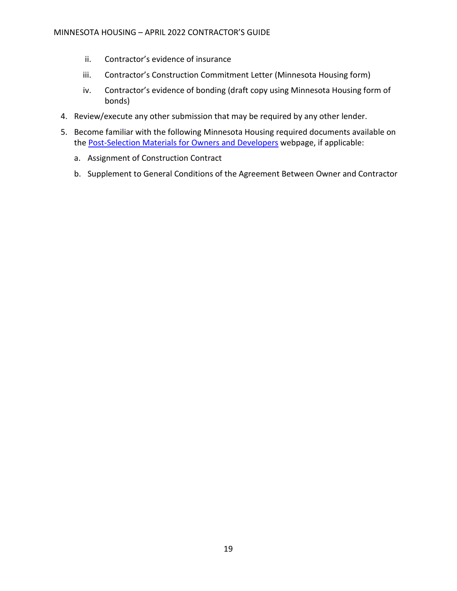- ii. Contractor's evidence of insurance
- iii. Contractor's Construction Commitment Letter (Minnesota Housing form)
- iv. Contractor's evidence of bonding (draft copy using Minnesota Housing form of bonds)
- 4. Review/execute any other submission that may be required by any other lender.
- 5. Become familiar with the following Minnesota Housing required documents available on the [Post-Selection Materials for Owners and Developers](https://www.mnhousing.gov/sites/multifamily/postselection/developers) webpage, if applicable:
	- a. Assignment of Construction Contract
	- b. Supplement to General Conditions of the Agreement Between Owner and Contractor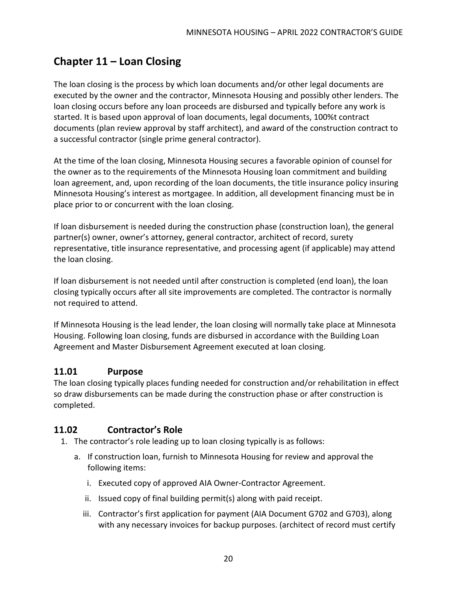## <span id="page-21-0"></span>**Chapter 11 – Loan Closing**

The loan closing is the process by which loan documents and/or other legal documents are executed by the owner and the contractor, Minnesota Housing and possibly other lenders. The loan closing occurs before any loan proceeds are disbursed and typically before any work is started. It is based upon approval of loan documents, legal documents, 100%t contract documents (plan review approval by staff architect), and award of the construction contract to a successful contractor (single prime general contractor).

At the time of the loan closing, Minnesota Housing secures a favorable opinion of counsel for the owner as to the requirements of the Minnesota Housing loan commitment and building loan agreement, and, upon recording of the loan documents, the title insurance policy insuring Minnesota Housing's interest as mortgagee. In addition, all development financing must be in place prior to or concurrent with the loan closing.

If loan disbursement is needed during the construction phase (construction loan), the general partner(s) owner, owner's attorney, general contractor, architect of record, surety representative, title insurance representative, and processing agent (if applicable) may attend the loan closing.

If loan disbursement is not needed until after construction is completed (end loan), the loan closing typically occurs after all site improvements are completed. The contractor is normally not required to attend.

If Minnesota Housing is the lead lender, the loan closing will normally take place at Minnesota Housing. Following loan closing, funds are disbursed in accordance with the Building Loan Agreement and Master Disbursement Agreement executed at loan closing.

#### <span id="page-21-1"></span>**11.01 Purpose**

The loan closing typically places funding needed for construction and/or rehabilitation in effect so draw disbursements can be made during the construction phase or after construction is completed.

#### <span id="page-21-2"></span>**11.02 Contractor's Role**

- 1. The contractor's role leading up to loan closing typically is as follows:
	- a. If construction loan, furnish to Minnesota Housing for review and approval the following items:
		- i. Executed copy of approved AIA Owner-Contractor Agreement.
		- ii. Issued copy of final building permit(s) along with paid receipt.
		- iii. Contractor's first application for payment (AIA Document G702 and G703), along with any necessary invoices for backup purposes. (architect of record must certify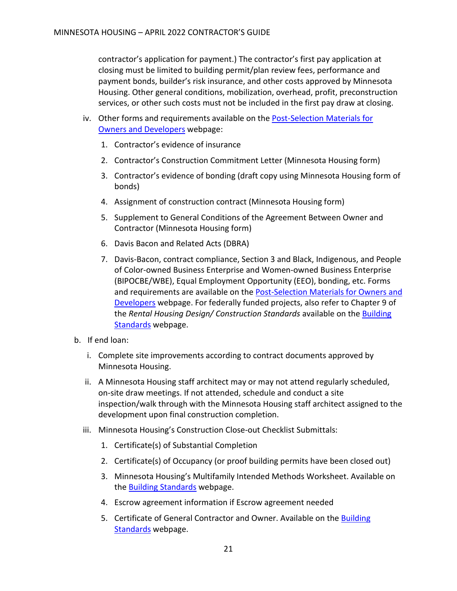contractor's application for payment.) The contractor's first pay application at closing must be limited to building permit/plan review fees, performance and payment bonds, builder's risk insurance, and other costs approved by Minnesota Housing. Other general conditions, mobilization, overhead, profit, preconstruction services, or other such costs must not be included in the first pay draw at closing.

- iv. Other forms and requirements available on the Post-Selection Materials for [Owners and Developers](https://www.mnhousing.gov/sites/multifamily/postselection/developers) webpage:
	- 1. Contractor's evidence of insurance
	- 2. Contractor's Construction Commitment Letter (Minnesota Housing form)
	- 3. Contractor's evidence of bonding (draft copy using Minnesota Housing form of bonds)
	- 4. Assignment of construction contract (Minnesota Housing form)
	- 5. Supplement to General Conditions of the Agreement Between Owner and Contractor (Minnesota Housing form)
	- 6. Davis Bacon and Related Acts (DBRA)
	- 7. Davis-Bacon, contract compliance, Section 3 and Black, Indigenous, and People of Color-owned Business Enterprise and Women-owned Business Enterprise (BIPOCBE/WBE), Equal Employment Opportunity (EEO), bonding, etc. Forms and requirements are available on the [Post-Selection Materials for Owners and](https://www.mnhousing.gov/sites/multifamily/postselection/developers)  [Developers](https://www.mnhousing.gov/sites/multifamily/postselection/developers) webpage. For federally funded projects, also refer to Chapter 9 of the *Rental Housing Design/ Construction Standards* available on the [Building](https://www.mnhousing.gov/sites/multifamily/buildingstandards)  [Standards](https://www.mnhousing.gov/sites/multifamily/buildingstandards) webpage.
- b. If end loan:
	- i. Complete site improvements according to contract documents approved by Minnesota Housing.
	- ii. A Minnesota Housing staff architect may or may not attend regularly scheduled, on-site draw meetings. If not attended, schedule and conduct a site inspection/walk through with the Minnesota Housing staff architect assigned to the development upon final construction completion.
	- iii. Minnesota Housing's Construction Close-out Checklist Submittals:
		- 1. Certificate(s) of Substantial Completion
		- 2. Certificate(s) of Occupancy (or proof building permits have been closed out)
		- 3. Minnesota Housing's Multifamily Intended Methods Worksheet. Available on the **Building Standards** webpage.
		- 4. Escrow agreement information if Escrow agreement needed
		- 5. Certificate of General Contractor and Owner. Available on the [Building](http://www.mnhousing.gov/sites/multifamily/buildingstandards)  [Standards](http://www.mnhousing.gov/sites/multifamily/buildingstandards) webpage.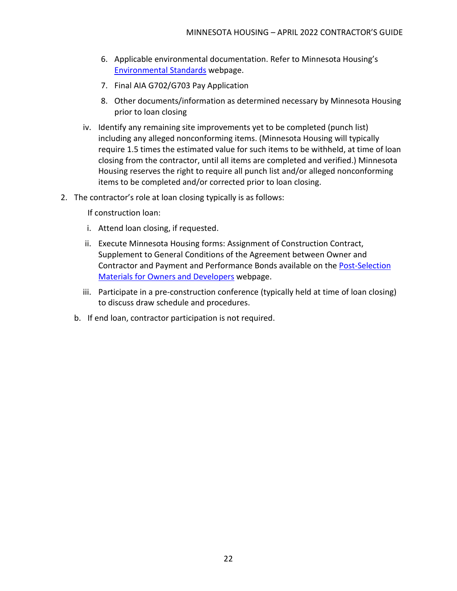- 6. Applicable environmental documentation. Refer to Minnesota Housing's [Environmental Standards](https://www.mnhousing.gov/wcs/Satellite?c=Page&cid=1362997127234&pagename=External%2FPage%2FEXTStandardLayout) webpage.
- 7. Final AIA G702/G703 Pay Application
- 8. Other documents/information as determined necessary by Minnesota Housing prior to loan closing
- iv. Identify any remaining site improvements yet to be completed (punch list) including any alleged nonconforming items. (Minnesota Housing will typically require 1.5 times the estimated value for such items to be withheld, at time of loan closing from the contractor, until all items are completed and verified.) Minnesota Housing reserves the right to require all punch list and/or alleged nonconforming items to be completed and/or corrected prior to loan closing.
- 2. The contractor's role at loan closing typically is as follows:

If construction loan:

- i. Attend loan closing, if requested.
- ii. Execute Minnesota Housing forms: Assignment of Construction Contract, Supplement to General Conditions of the Agreement between Owner and Contractor and Payment and Performance Bonds available on the [Post-Selection](https://www.mnhousing.gov/sites/multifamily/postselection/developers)  [Materials for Owners and Developers](https://www.mnhousing.gov/sites/multifamily/postselection/developers) webpage.
- iii. Participate in a pre-construction conference (typically held at time of loan closing) to discuss draw schedule and procedures.
- b. If end loan, contractor participation is not required.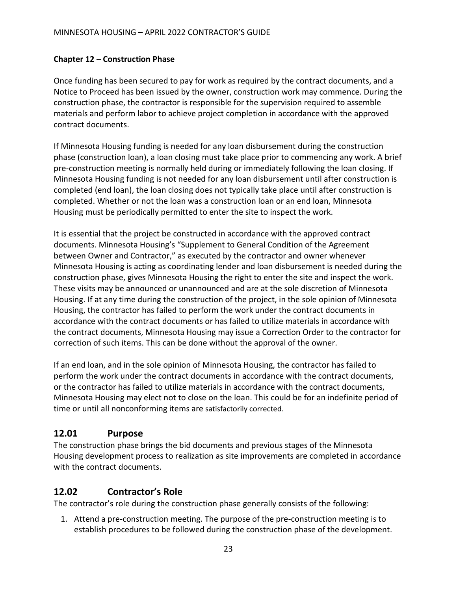#### <span id="page-24-0"></span>**Chapter 12 – Construction Phase**

Once funding has been secured to pay for work as required by the contract documents, and a Notice to Proceed has been issued by the owner, construction work may commence. During the construction phase, the contractor is responsible for the supervision required to assemble materials and perform labor to achieve project completion in accordance with the approved contract documents.

If Minnesota Housing funding is needed for any loan disbursement during the construction phase (construction loan), a loan closing must take place prior to commencing any work. A brief pre-construction meeting is normally held during or immediately following the loan closing. If Minnesota Housing funding is not needed for any loan disbursement until after construction is completed (end loan), the loan closing does not typically take place until after construction is completed. Whether or not the loan was a construction loan or an end loan, Minnesota Housing must be periodically permitted to enter the site to inspect the work.

It is essential that the project be constructed in accordance with the approved contract documents. Minnesota Housing's "Supplement to General Condition of the Agreement between Owner and Contractor," as executed by the contractor and owner whenever Minnesota Housing is acting as coordinating lender and loan disbursement is needed during the construction phase, gives Minnesota Housing the right to enter the site and inspect the work. These visits may be announced or unannounced and are at the sole discretion of Minnesota Housing. If at any time during the construction of the project, in the sole opinion of Minnesota Housing, the contractor has failed to perform the work under the contract documents in accordance with the contract documents or has failed to utilize materials in accordance with the contract documents, Minnesota Housing may issue a Correction Order to the contractor for correction of such items. This can be done without the approval of the owner.

If an end loan, and in the sole opinion of Minnesota Housing, the contractor has failed to perform the work under the contract documents in accordance with the contract documents, or the contractor has failed to utilize materials in accordance with the contract documents, Minnesota Housing may elect not to close on the loan. This could be for an indefinite period of time or until all nonconforming items are satisfactorily corrected.

#### <span id="page-24-1"></span>**12.01 Purpose**

The construction phase brings the bid documents and previous stages of the Minnesota Housing development process to realization as site improvements are completed in accordance with the contract documents.

#### <span id="page-24-2"></span>**12.02 Contractor's Role**

The contractor's role during the construction phase generally consists of the following:

1. Attend a pre-construction meeting. The purpose of the pre-construction meeting is to establish procedures to be followed during the construction phase of the development.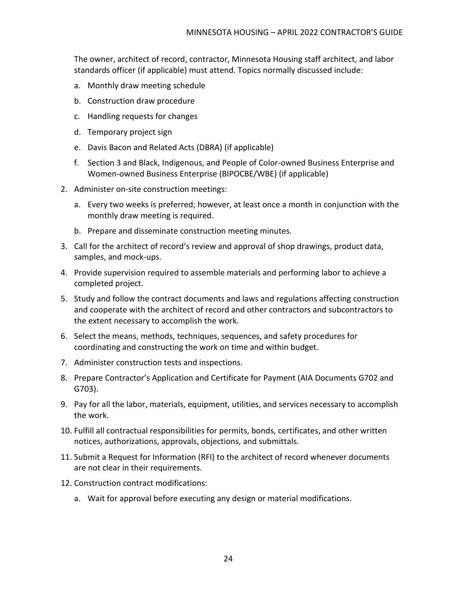The owner, architect of record, contractor, Minnesota Housing staff architect, and labor standards officer (if applicable) must attend. Topics normally discussed include:

- a. Monthly draw meeting schedule
- b. Construction draw procedure
- c. Handling requests for changes
- d. Temporary project sign
- e. Davis Bacon and Related Acts (DBRA) (if applicable)
- f. Section 3 and Black, Indigenous, and People of Color-owned Business Enterprise and Women-owned Business Enterprise (BIPOCBE/WBE) (if applicable)
- 2. Administer on-site construction meetings:
	- a. Every two weeks is preferred; however, at least once a month in conjunction with the monthly draw meeting is required.
	- b. Prepare and disseminate construction meeting minutes.
- 3. Call for the architect of record's review and approval of shop drawings, product data, samples, and mock-ups.
- 4. Provide supervision required to assemble materials and performing labor to achieve a completed project.
- 5. Study and follow the contract documents and laws and regulations affecting construction and cooperate with the architect of record and other contractors and subcontractors to the extent necessary to accomplish the work.
- 6. Select the means, methods, techniques, sequences, and safety procedures for coordinating and constructing the work on time and within budget.
- 7. Administer construction tests and inspections.
- 8. Prepare Contractor's Application and Certificate for Payment (AIA Documents G702 and G703).
- 9. Pay for all the labor, materials, equipment, utilities, and services necessary to accomplish the work.
- 10. Fulfill all contractual responsibilities for permits, bonds, certificates, and other written notices, authorizations, approvals, objections, and submittals.
- 11. Submit a Request for Information (RFI) to the architect of record whenever documents are not clear in their requirements.
- 12. Construction contract modifications:
	- a. Wait for approval before executing any design or material modifications.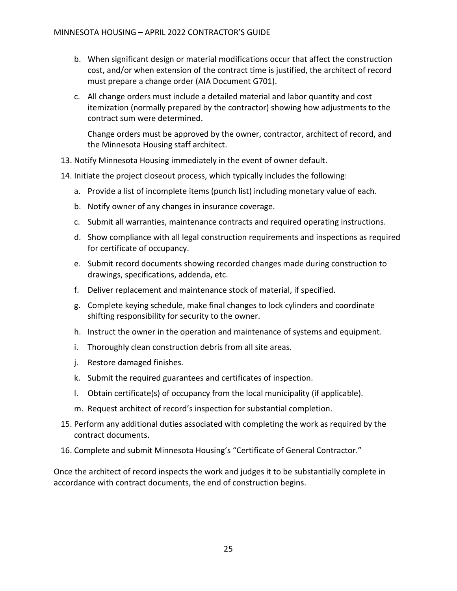- b. When significant design or material modifications occur that affect the construction cost, and/or when extension of the contract time is justified, the architect of record must prepare a change order (AIA Document G701).
- c. All change orders must include a detailed material and labor quantity and cost itemization (normally prepared by the contractor) showing how adjustments to the contract sum were determined.

Change orders must be approved by the owner, contractor, architect of record, and the Minnesota Housing staff architect.

- 13. Notify Minnesota Housing immediately in the event of owner default.
- 14. Initiate the project closeout process, which typically includes the following:
	- a. Provide a list of incomplete items (punch list) including monetary value of each.
	- b. Notify owner of any changes in insurance coverage.
	- c. Submit all warranties, maintenance contracts and required operating instructions.
	- d. Show compliance with all legal construction requirements and inspections as required for certificate of occupancy.
	- e. Submit record documents showing recorded changes made during construction to drawings, specifications, addenda, etc.
	- f. Deliver replacement and maintenance stock of material, if specified.
	- g. Complete keying schedule, make final changes to lock cylinders and coordinate shifting responsibility for security to the owner.
	- h. Instruct the owner in the operation and maintenance of systems and equipment.
	- i. Thoroughly clean construction debris from all site areas.
	- j. Restore damaged finishes.
	- k. Submit the required guarantees and certificates of inspection.
	- l. Obtain certificate(s) of occupancy from the local municipality (if applicable).
	- m. Request architect of record's inspection for substantial completion.
- 15. Perform any additional duties associated with completing the work as required by the contract documents.
- 16. Complete and submit Minnesota Housing's "Certificate of General Contractor."

Once the architect of record inspects the work and judges it to be substantially complete in accordance with contract documents, the end of construction begins.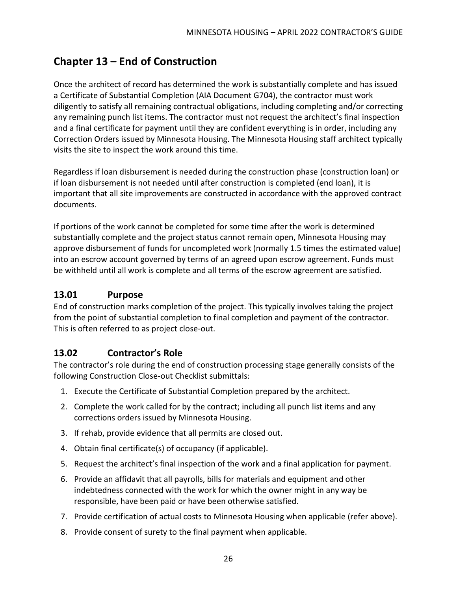## <span id="page-27-0"></span>**Chapter 13 – End of Construction**

Once the architect of record has determined the work is substantially complete and has issued a Certificate of Substantial Completion (AIA Document G704), the contractor must work diligently to satisfy all remaining contractual obligations, including completing and/or correcting any remaining punch list items. The contractor must not request the architect's final inspection and a final certificate for payment until they are confident everything is in order, including any Correction Orders issued by Minnesota Housing. The Minnesota Housing staff architect typically visits the site to inspect the work around this time.

Regardless if loan disbursement is needed during the construction phase (construction loan) or if loan disbursement is not needed until after construction is completed (end loan), it is important that all site improvements are constructed in accordance with the approved contract documents.

If portions of the work cannot be completed for some time after the work is determined substantially complete and the project status cannot remain open, Minnesota Housing may approve disbursement of funds for uncompleted work (normally 1.5 times the estimated value) into an escrow account governed by terms of an agreed upon escrow agreement. Funds must be withheld until all work is complete and all terms of the escrow agreement are satisfied.

#### <span id="page-27-1"></span>**13.01 Purpose**

End of construction marks completion of the project. This typically involves taking the project from the point of substantial completion to final completion and payment of the contractor. This is often referred to as project close-out.

#### <span id="page-27-2"></span>**13.02 Contractor's Role**

The contractor's role during the end of construction processing stage generally consists of the following Construction Close-out Checklist submittals:

- 1. Execute the Certificate of Substantial Completion prepared by the architect.
- 2. Complete the work called for by the contract; including all punch list items and any corrections orders issued by Minnesota Housing.
- 3. If rehab, provide evidence that all permits are closed out.
- 4. Obtain final certificate(s) of occupancy (if applicable).
- 5. Request the architect's final inspection of the work and a final application for payment.
- 6. Provide an affidavit that all payrolls, bills for materials and equipment and other indebtedness connected with the work for which the owner might in any way be responsible, have been paid or have been otherwise satisfied.
- 7. Provide certification of actual costs to Minnesota Housing when applicable (refer above).
- 8. Provide consent of surety to the final payment when applicable.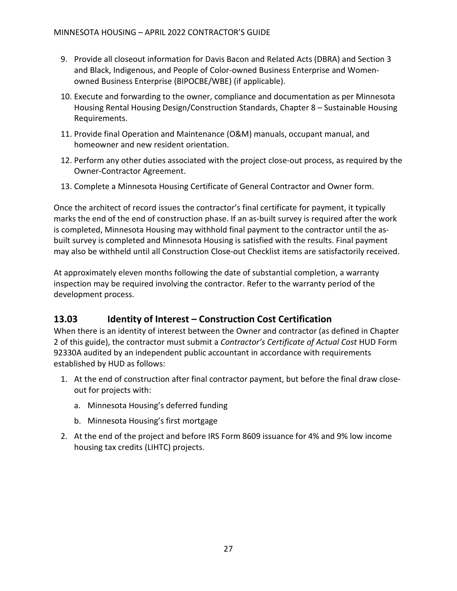- 9. Provide all closeout information for Davis Bacon and Related Acts (DBRA) and Section 3 and Black, Indigenous, and People of Color-owned Business Enterprise and Womenowned Business Enterprise (BIPOCBE/WBE) (if applicable).
- 10. Execute and forwarding to the owner, compliance and documentation as per Minnesota Housing Rental Housing Design/Construction Standards, Chapter 8 – Sustainable Housing Requirements.
- 11. Provide final Operation and Maintenance (O&M) manuals, occupant manual, and homeowner and new resident orientation.
- 12. Perform any other duties associated with the project close-out process, as required by the Owner-Contractor Agreement.
- 13. Complete a Minnesota Housing Certificate of General Contractor and Owner form.

Once the architect of record issues the contractor's final certificate for payment, it typically marks the end of the end of construction phase. If an as-built survey is required after the work is completed, Minnesota Housing may withhold final payment to the contractor until the asbuilt survey is completed and Minnesota Housing is satisfied with the results. Final payment may also be withheld until all Construction Close-out Checklist items are satisfactorily received.

At approximately eleven months following the date of substantial completion, a warranty inspection may be required involving the contractor. Refer to the warranty period of the development process.

#### <span id="page-28-0"></span>**13.03 Identity of Interest – Construction Cost Certification**

When there is an identity of interest between the Owner and contractor (as defined in Chapter 2 of this guide), the contractor must submit a *Contractor's Certificate of Actual Cost* HUD Form 92330A audited by an independent public accountant in accordance with requirements established by HUD as follows:

- 1. At the end of construction after final contractor payment, but before the final draw closeout for projects with:
	- a. Minnesota Housing's deferred funding
	- b. Minnesota Housing's first mortgage
- 2. At the end of the project and before IRS Form 8609 issuance for 4% and 9% low income housing tax credits (LIHTC) projects.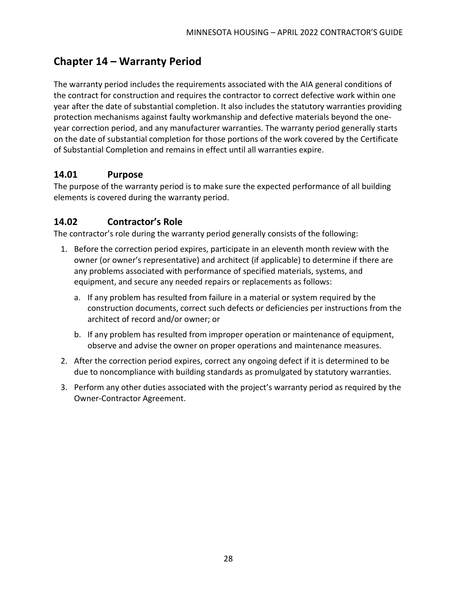## <span id="page-29-0"></span>**Chapter 14 – Warranty Period**

The warranty period includes the requirements associated with the AIA general conditions of the contract for construction and requires the contractor to correct defective work within one year after the date of substantial completion. It also includes the statutory warranties providing protection mechanisms against faulty workmanship and defective materials beyond the oneyear correction period, and any manufacturer warranties. The warranty period generally starts on the date of substantial completion for those portions of the work covered by the Certificate of Substantial Completion and remains in effect until all warranties expire.

#### <span id="page-29-1"></span>**14.01 Purpose**

The purpose of the warranty period is to make sure the expected performance of all building elements is covered during the warranty period.

#### <span id="page-29-2"></span>**14.02 Contractor's Role**

The contractor's role during the warranty period generally consists of the following:

- 1. Before the correction period expires, participate in an eleventh month review with the owner (or owner's representative) and architect (if applicable) to determine if there are any problems associated with performance of specified materials, systems, and equipment, and secure any needed repairs or replacements as follows:
	- a. If any problem has resulted from failure in a material or system required by the construction documents, correct such defects or deficiencies per instructions from the architect of record and/or owner; or
	- b. If any problem has resulted from improper operation or maintenance of equipment, observe and advise the owner on proper operations and maintenance measures.
- 2. After the correction period expires, correct any ongoing defect if it is determined to be due to noncompliance with building standards as promulgated by statutory warranties.
- 3. Perform any other duties associated with the project's warranty period as required by the Owner-Contractor Agreement.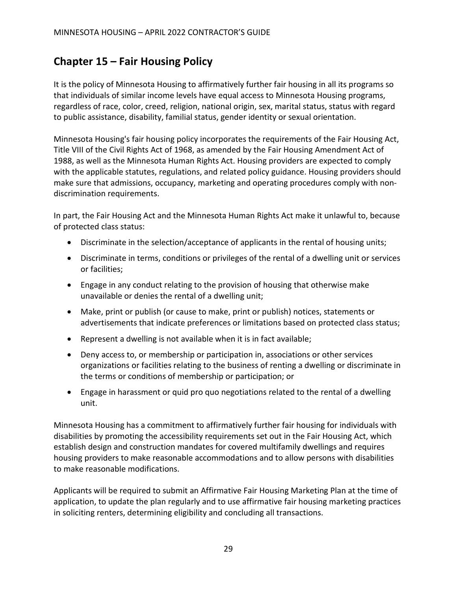## <span id="page-30-0"></span>**Chapter 15 – Fair Housing Policy**

It is the policy of Minnesota Housing to affirmatively further fair housing in all its programs so that individuals of similar income levels have equal access to Minnesota Housing programs, regardless of race, color, creed, religion, national origin, sex, marital status, status with regard to public assistance, disability, familial status, gender identity or sexual orientation.

Minnesota Housing's fair housing policy incorporates the requirements of the Fair Housing Act, Title VIII of the Civil Rights Act of 1968, as amended by the Fair Housing Amendment Act of 1988, as well as the Minnesota Human Rights Act. Housing providers are expected to comply with the applicable statutes, regulations, and related policy guidance. Housing providers should make sure that admissions, occupancy, marketing and operating procedures comply with nondiscrimination requirements.

In part, the Fair Housing Act and the Minnesota Human Rights Act make it unlawful to, because of protected class status:

- Discriminate in the selection/acceptance of applicants in the rental of housing units;
- Discriminate in terms, conditions or privileges of the rental of a dwelling unit or services or facilities;
- Engage in any conduct relating to the provision of housing that otherwise make unavailable or denies the rental of a dwelling unit;
- Make, print or publish (or cause to make, print or publish) notices, statements or advertisements that indicate preferences or limitations based on protected class status;
- Represent a dwelling is not available when it is in fact available;
- Deny access to, or membership or participation in, associations or other services organizations or facilities relating to the business of renting a dwelling or discriminate in the terms or conditions of membership or participation; or
- Engage in harassment or quid pro quo negotiations related to the rental of a dwelling unit.

Minnesota Housing has a commitment to affirmatively further fair housing for individuals with disabilities by promoting the accessibility requirements set out in the Fair Housing Act, which establish design and construction mandates for covered multifamily dwellings and requires housing providers to make reasonable accommodations and to allow persons with disabilities to make reasonable modifications.

Applicants will be required to submit an Affirmative Fair Housing Marketing Plan at the time of application, to update the plan regularly and to use affirmative fair housing marketing practices in soliciting renters, determining eligibility and concluding all transactions.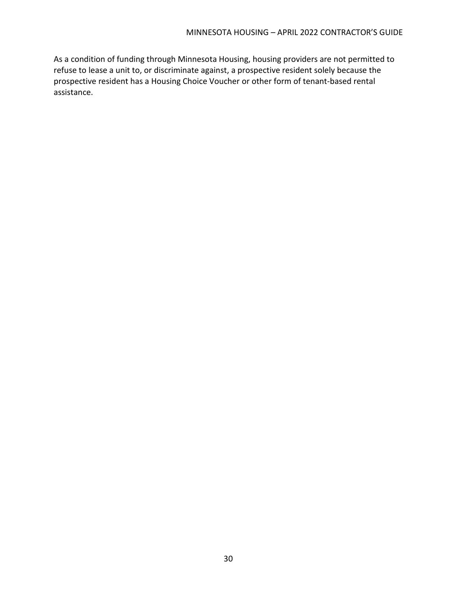As a condition of funding through Minnesota Housing, housing providers are not permitted to refuse to lease a unit to, or discriminate against, a prospective resident solely because the prospective resident has a Housing Choice Voucher or other form of tenant-based rental assistance.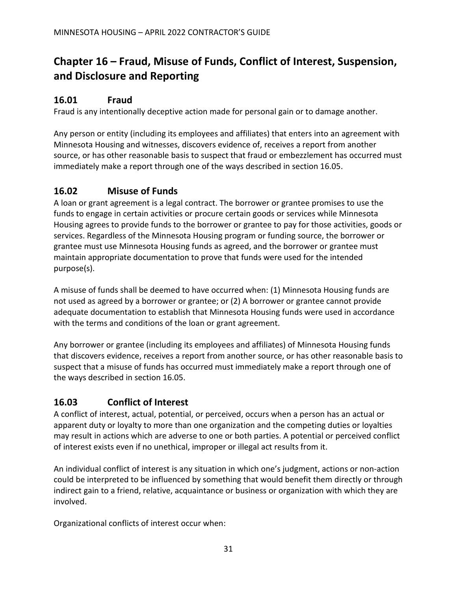# <span id="page-32-0"></span>**Chapter 16 – Fraud, Misuse of Funds, Conflict of Interest, Suspension, and Disclosure and Reporting**

#### <span id="page-32-1"></span>**16.01 Fraud**

Fraud is any intentionally deceptive action made for personal gain or to damage another.

Any person or entity (including its employees and affiliates) that enters into an agreement with Minnesota Housing and witnesses, discovers evidence of, receives a report from another source, or has other reasonable basis to suspect that fraud or embezzlement has occurred must immediately make a report through one of the ways described in section 16.05.

#### <span id="page-32-2"></span>**16.02 Misuse of Funds**

A loan or grant agreement is a legal contract. The borrower or grantee promises to use the funds to engage in certain activities or procure certain goods or services while Minnesota Housing agrees to provide funds to the borrower or grantee to pay for those activities, goods or services. Regardless of the Minnesota Housing program or funding source, the borrower or grantee must use Minnesota Housing funds as agreed, and the borrower or grantee must maintain appropriate documentation to prove that funds were used for the intended purpose(s).

A misuse of funds shall be deemed to have occurred when: (1) Minnesota Housing funds are not used as agreed by a borrower or grantee; or (2) A borrower or grantee cannot provide adequate documentation to establish that Minnesota Housing funds were used in accordance with the terms and conditions of the loan or grant agreement.

Any borrower or grantee (including its employees and affiliates) of Minnesota Housing funds that discovers evidence, receives a report from another source, or has other reasonable basis to suspect that a misuse of funds has occurred must immediately make a report through one of the ways described in section 16.05.

#### <span id="page-32-3"></span>**16.03 Conflict of Interest**

A conflict of interest, actual, potential, or perceived, occurs when a person has an actual or apparent duty or loyalty to more than one organization and the competing duties or loyalties may result in actions which are adverse to one or both parties. A potential or perceived conflict of interest exists even if no unethical, improper or illegal act results from it.

An individual conflict of interest is any situation in which one's judgment, actions or non-action could be interpreted to be influenced by something that would benefit them directly or through indirect gain to a friend, relative, acquaintance or business or organization with which they are involved.

Organizational conflicts of interest occur when: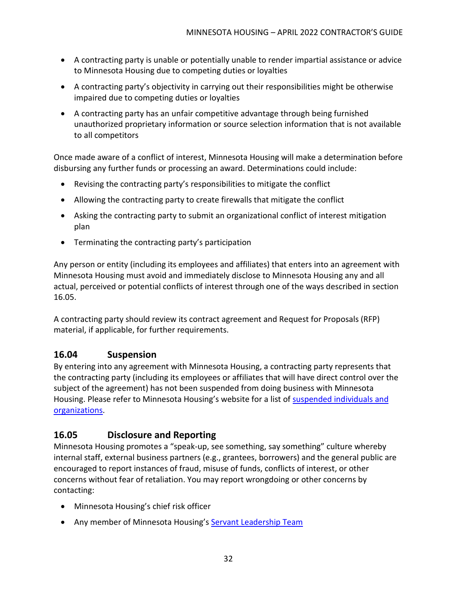- A contracting party is unable or potentially unable to render impartial assistance or advice to Minnesota Housing due to competing duties or loyalties
- A contracting party's objectivity in carrying out their responsibilities might be otherwise impaired due to competing duties or loyalties
- A contracting party has an unfair competitive advantage through being furnished unauthorized proprietary information or source selection information that is not available to all competitors

Once made aware of a conflict of interest, Minnesota Housing will make a determination before disbursing any further funds or processing an award. Determinations could include:

- Revising the contracting party's responsibilities to mitigate the conflict
- Allowing the contracting party to create firewalls that mitigate the conflict
- Asking the contracting party to submit an organizational conflict of interest mitigation plan
- Terminating the contracting party's participation

Any person or entity (including its employees and affiliates) that enters into an agreement with Minnesota Housing must avoid and immediately disclose to Minnesota Housing any and all actual, perceived or potential conflicts of interest through one of the ways described in section 16.05.

A contracting party should review its contract agreement and Request for Proposals (RFP) material, if applicable, for further requirements.

#### <span id="page-33-0"></span>**16.04 Suspension**

By entering into any agreement with Minnesota Housing, a contracting party represents that the contracting party (including its employees or affiliates that will have direct control over the subject of the agreement) has not been suspended from doing business with Minnesota Housing. Please refer to Minnesota Housing's website for a list of [suspended individuals and](https://www.mnhousing.gov/sites/np/suspensions)  [organizations.](https://www.mnhousing.gov/sites/np/suspensions)

#### <span id="page-33-1"></span>**16.05 Disclosure and Reporting**

Minnesota Housing promotes a "speak-up, see something, say something" culture whereby internal staff, external business partners (e.g., grantees, borrowers) and the general public are encouraged to report instances of fraud, misuse of funds, conflicts of interest, or other concerns without fear of retaliation. You may report wrongdoing or other concerns by contacting:

- Minnesota Housing's chief risk officer
- Any member of Minnesota Housing's [Servant Leadership Team](https://www.mnhousing.gov/sites/np/leadership)